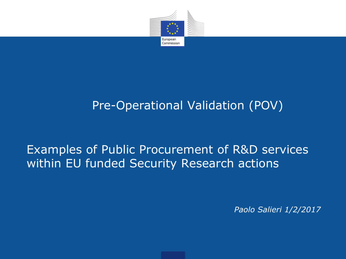

## Pre-Operational Validation (POV)

## Examples of Public Procurement of R&D services within EU funded Security Research actions

*Paolo Salieri 1/2/2017*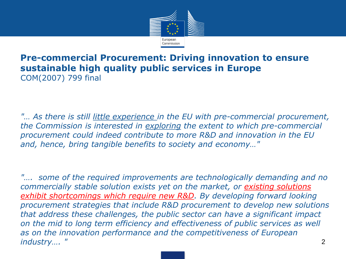

#### • **Pre-commercial Procurement: Driving innovation to ensure sustainable high quality public services in Europe**  COM(2007) 799 final

• *"… As there is still little experience in the EU with pre-commercial procurement, the Commission is interested in exploring the extent to which pre-commercial procurement could indeed contribute to more R&D and innovation in the EU and, hence, bring tangible benefits to society and economy…"*

• *"…. some of the required improvements are technologically demanding and no commercially stable solution exists yet on the market, or existing solutions exhibit shortcomings which require new R&D. By developing forward looking procurement strategies that include R&D procurement to develop new solutions that address these challenges, the public sector can have a significant impact on the mid to long term efficiency and effectiveness of public services as well as on the innovation performance and the competitiveness of European industry…. "* 2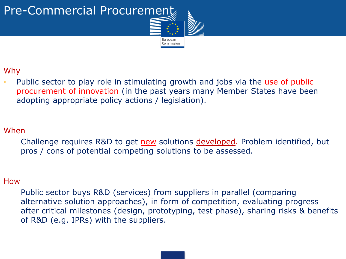



#### Why

• Public sector to play role in stimulating growth and jobs via the use of public procurement of innovation (in the past years many Member States have been adopting appropriate policy actions / legislation).

#### When

Challenge requires R&D to get new solutions developed. Problem identified, but pros / cons of potential competing solutions to be assessed.

#### How

Public sector buys R&D (services) from suppliers in parallel (comparing alternative solution approaches), in form of competition, evaluating progress after critical milestones (design, prototyping, test phase), sharing risks & benefits of R&D (e.g. IPRs) with the suppliers.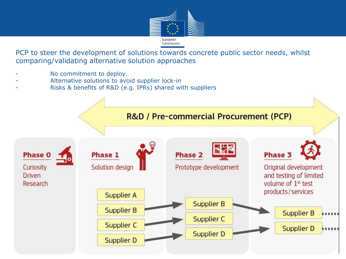

PCP to steer the development of solutions towards concrete public sector needs, whilst comparing/validating alternative solution approaches

- No commitment to deploy.
- Alternative solutions to avoid supplier lock-in
- Risks & benefits of R&D (e.g. IPRs) shared with suppliers

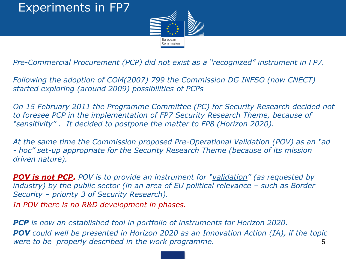## Experiments in FP7



*Pre-Commercial Procurement (PCP) did not exist as a "recognized" instrument in FP7.* 

*Following the adoption of COM(2007) 799 the Commission DG INFSO (now CNECT) started exploring (around 2009) possibilities of PCPs*

*On 15 February 2011 the Programme Committee (PC) for Security Research decided not to foresee PCP in the implementation of FP7 Security Research Theme, because of "sensitivity" . It decided to postpone the matter to FP8 (Horizon 2020).* 

*At the same time the Commission proposed Pre-Operational Validation (POV) as an "ad - hoc" set-up appropriate for the Security Research Theme (because of its mission driven nature).* 

*POV is not PCP. POV is to provide an instrument for "validation" (as requested by industry) by the public sector (in an area of EU political relevance – such as Border Security – priority 3 of Security Research). In POV there is no R&D development in phases.*

*PCP is now an established tool in portfolio of instruments for Horizon 2020. POV could well be presented in Horizon 2020 as an Innovation Action (IA), if the topic were to be properly described in the work programme.* 5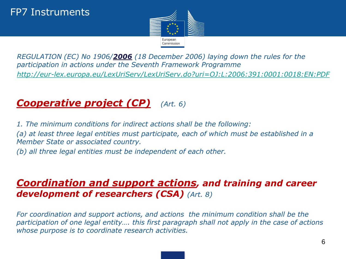

• *REGULATION (EC) No 1906/2006 (18 December 2006) laying down the rules for the participation in actions under the Seventh Framework Programme* • *<http://eur-lex.europa.eu/LexUriServ/LexUriServ.do?uri=OJ:L:2006:391:0001:0018:EN:PDF>*

### • *Cooperative project (CP) (Art. 6)*

• *1. The minimum conditions for indirect actions shall be the following:* • *(a) at least three legal entities must participate, each of which must be established in a Member State or associated country.* • *(b) all three legal entities must be independent of each other.*

#### • *Coordination and support actions, and training and career development of researchers (CSA) (Art. 8)*

• *For coordination and support actions, and actions the minimum condition shall be the participation of one legal entity…. this first paragraph shall not apply in the case of actions whose purpose is to coordinate research activities.*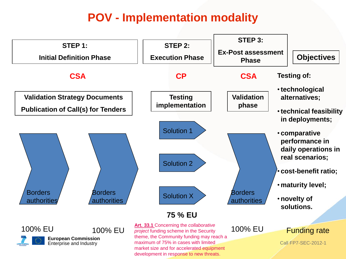## **POV - Implementation modality**

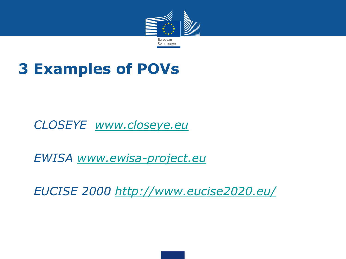

# **3 Examples of POVs**

## • *CLOSEYE [www.closeye.eu](http://www.closeye.eu/)*

• *EWISA [www.ewisa-project.eu](http://www.ewisa-project.eu/)*

• *EUCISE 2000<http://www.eucise2020.eu/>*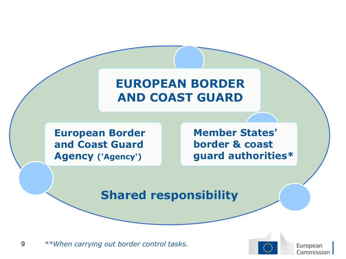## **EUROPEAN BORDER AND COAST GUARD**

**European Border and Coast Guard Agency ('Agency')**

**Member States' border & coast guard authorities\***

### **Shared responsibility**

9 *\*\*When carrying out border control tasks.*



European Commission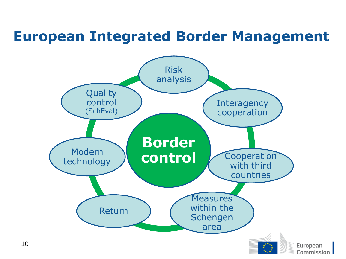# **European Integrated Border Management**

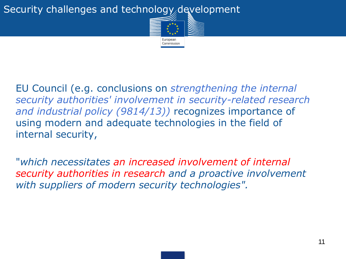#### Security challenges and technology development



EU Council (e.g. conclusions on *strengthening the internal security authorities' involvement in security-related research and industrial policy (9814/13))* recognizes importance of using modern and adequate technologies in the field of internal security,

"*which necessitates an increased involvement of internal security authorities in research and a proactive involvement with suppliers of modern security technologies".*